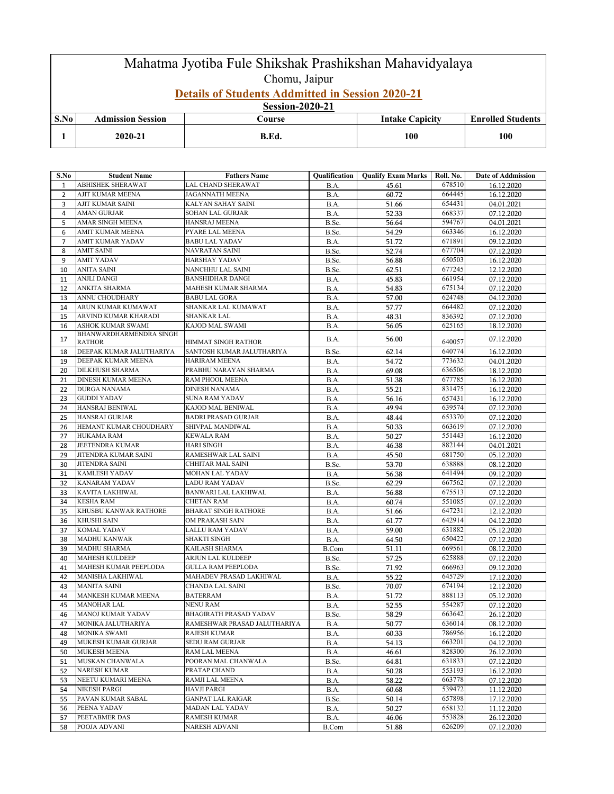## Mahatma Jyotiba Fule Shikshak Prashikshan Mahavidyalaya Chomu, Jaipur **Details of Students Addmitted in Session 2020-21**

**Session-2020-21**

| S.No | Admission Session | <b>Course</b> | Capicity<br><b>Intake</b> | <b>Enrolled Students</b> |  |  |
|------|-------------------|---------------|---------------------------|--------------------------|--|--|
|      | 2020-21           | B.Ed.         | 100                       | 100                      |  |  |

| S.No           | <b>Student Name</b>                      | <b>Fathers Name</b>           | Qualification | <b>Qualify Exam Marks   Roll. No.</b> |        | Date of Addmission       |
|----------------|------------------------------------------|-------------------------------|---------------|---------------------------------------|--------|--------------------------|
| $\mathbf{1}$   | ABHISHEK SHERAWAT                        | LAL CHAND SHERAWAT            | B.A.          | 45.61                                 | 678510 | 16.12.2020               |
| 2              | AJIT KUMAR MEENA                         | JAGANNATH MEENA               | B.A.          | 60.72                                 | 664445 | 16.12.2020               |
| 3              | AJIT KUMAR SAINI                         | KALYAN SAHAY SAINI            | B.A.          | 51.66                                 | 654431 | 04.01.2021               |
| $\overline{4}$ | <b>AMAN GURJAR</b>                       | SOHAN LAL GURJAR              | B.A.          | 52.33                                 | 668337 | 07.12.2020               |
| 5              | AMAR SINGH MEENA                         | HANSRAJ MEENA                 | B.Sc.         | 56.64                                 | 594767 | 04.01.2021               |
| 6              | AMIT KUMAR MEENA                         | PYARE LAL MEENA               | B.Sc.         | 54.29                                 | 663346 | 16.12.2020               |
| 7              | AMIT KUMAR YADAV                         | <b>BABU LAL YADAV</b>         | B.A.          | 51.72                                 | 671891 | 09.12.2020               |
| 8              | <b>AMIT SAINI</b>                        | NAVRATAN SAINI                | B.Sc.         | 52.74                                 | 677704 | 07.12.2020               |
| 9              | <b>AMIT YADAV</b>                        | HARSHAY YADAV                 | B.Sc.         | 56.88                                 | 650503 | 16.12.2020               |
| 10             | <b>ANITA SAINI</b>                       | NANCHHU LAL SAINI             | B.Sc.         | 62.51                                 | 677245 | 12.12.2020               |
| 11             | <b>ANJLI DANGI</b>                       | <b>BANSHIDHAR DANGI</b>       | B.A.          | 45.83                                 | 661954 | 07.12.2020               |
| 12             | ANKITA SHARMA                            | MAHESH KUMAR SHARMA           | B.A.          | 54.83                                 | 675134 | 07.12.2020               |
| 13             | ANNU CHOUDHARY                           | <b>BABU LAL GORA</b>          | B.A.          | 57.00                                 | 624748 | 04.12.2020               |
| 14             | ARUN KUMAR KUMAWAT                       | SHANKAR LAL KUMAWAT           | B.A.          | 57.77                                 | 664482 | 07.12.2020               |
| 15             | ARVIND KUMAR KHARADI                     | SHANKAR LAL                   | B.A.          | 48.31                                 | 836392 | 07.12.2020               |
| 16             | ASHOK KUMAR SWAMI                        | KAJOD MAL SWAMI               | B.A.          | 56.05                                 | 625165 | 18.12.2020               |
| 17             | BHANWARDHARMENDRA SINGH<br><b>RATHOR</b> | HIMMAT SINGH RATHOR           | B.A.          | 56.00                                 | 640057 | 07.12.2020               |
| 18             | DEEPAK KUMAR JALUTHARIYA                 | SANTOSH KUMAR JALUTHARIYA     | B.Sc.         | 62.14                                 | 640774 | 16.12.2020               |
| 19             | DEEPAK KUMAR MEENA                       | <b>HARIRAM MEENA</b>          | <b>B.A.</b>   | 54.72                                 | 773632 | 04.01.2020               |
| 20             | <b>DILKHUSH SHARMA</b>                   | PRABHU NARAYAN SHARMA         |               | 69.08                                 | 636506 | 18.12.2020               |
| 21             | DINESH KUMAR MEENA                       | RAM PHOOL MEENA               | B.A.<br>B.A.  | 51.38                                 | 677785 | 16.12.2020               |
| 22             | <b>DURGA NANAMA</b>                      | <b>DINESH NANAMA</b>          | B.A.          | 55.21                                 | 831475 | 16.12.2020               |
| 23             | <b>GUDDI YADAV</b>                       | <b>SUNA RAM YADAV</b>         |               | 56.16                                 | 657431 |                          |
| 24             | HANSRAJ BENIWAL                          | KAJOD MAL BENIWAL             | B.A.<br>B.A.  | 49.94                                 | 639574 | 16.12.2020<br>07.12.2020 |
| 25             | <b>HANSRAJ GURJAR</b>                    | <b>BADRI PRASAD GURJAR</b>    | B.A.          | 48.44                                 | 653370 | 07.12.2020               |
| 26             | HEMANT KUMAR CHOUDHARY                   | SHIVPAL MANDIWAL              | B.A.          | 50.33                                 | 663619 | 07.12.2020               |
| 27             | <b>HUKAMA RAM</b>                        | <b>KEWALA RAM</b>             | B.A.          | 50.27                                 | 551443 | 16.12.2020               |
| 28             | JEETENDRA KUMAR                          | <b>HARI SINGH</b>             | B.A.          | 46.38                                 | 882144 | 04.01.2021               |
| 29             | JITENDRA KUMAR SAINI                     | RAMESHWAR LAL SAINI           | B.A.          | 45.50                                 | 681750 | 05.12.2020               |
| 30             | <b>JITENDRA SAINI</b>                    | CHHITAR MAL SAINI             | B.Sc.         | 53.70                                 | 638888 | 08.12.2020               |
| 31             | <b>KAMLESH YADAV</b>                     | MOHAN LAL YADAV               | B.A.          | 56.38                                 | 641494 | 09.12.2020               |
| 32             | <b>KANARAM YADAV</b>                     | <b>LADU RAM YADAV</b>         | B.Sc.         | 62.29                                 | 667562 | 07.12.2020               |
| 33             | <b>KAVITA LAKHIWAL</b>                   | BANWARI LAL LAKHIWAL          | B.A.          | 56.88                                 | 675513 | 07.12.2020               |
| 34             | <b>KESHA RAM</b>                         | <b>CHETAN RAM</b>             | B.A.          | 60.74                                 | 551085 | 07.12.2020               |
| 35             | KHUSBU KANWAR RATHORE                    | BHARAT SINGH RATHORE          | B.A.          | 51.66                                 | 647231 | 12.12.2020               |
| 36             | <b>KHUSHI SAIN</b>                       | OM PRAKASH SAIN               | B.A.          | 61.77                                 | 642914 | 04.12.2020               |
| 37             | <b>KOMAL YADAV</b>                       | LALLU RAM YADAV               | <b>B.A.</b>   | 59.00                                 | 631882 | 05.12.2020               |
| 38             | <b>MADHU KANWAR</b>                      | <b>SHAKTI SINGH</b>           | B.A.          | 64.50                                 | 650422 | 07.12.2020               |
| 39             | <b>MADHU SHARMA</b>                      | KAILASH SHARMA                | <b>B.Com</b>  | 51.11                                 | 669561 | 08.12.2020               |
| 40             | <b>MAHESH KULDEEP</b>                    | ARJUN LAL KULDEEP             | B.Sc.         | 57.25                                 | 625888 | 07.12.2020               |
| 41             | MAHESH KUMAR PEEPLODA                    | <b>GULLA RAM PEEPLODA</b>     | B.Sc.         | 71.92                                 | 666963 | 09.12.2020               |
| 42             | <b>MANISHA LAKHIWAL</b>                  | MAHADEV PRASAD LAKHIWAL       | B.A.          | 55.22                                 | 645729 | 17.12.2020               |
| 43             | <b>MANITA SAINI</b>                      | <b>CHANDA LAL SAINI</b>       | B.Sc.         | 70.07                                 | 674194 | 12.12.2020               |
| 44             | MANKESH KUMAR MEENA                      | <b>BATERRAM</b>               | <b>B.A.</b>   | 51.72                                 | 888113 | 05.12.2020               |
| 45             | <b>MANOHAR LAL</b>                       | NENU RAM                      | B.A.          | 52.55                                 | 554287 | 07.12.2020               |
| 46             | <b>MANOJ KUMAR YADAV</b>                 | <b>BHAGIRATH PRASAD YADAV</b> | B.Sc.         | 58.29                                 | 663642 | 26.12.2020               |
| 47             | MONIKA JALUTHARIYA                       | RAMESHWAR PRASAD JALUTHARIYA  | B.A.          | 50.77                                 | 636014 | 08.12.2020               |
| 48             | MONIKA SWAMI                             | RAJESH KUMAR                  | <b>B.A.</b>   | 60.33                                 | 786956 | 16.12.2020               |
| 49             | <b>MUKESH KUMAR GURJAR</b>               | SEDU RAM GURJAR               | B.A.          | 54.13                                 | 663201 | 04.12.2020               |
| 50             | <b>MUKESH MEENA</b>                      | RAM LAL MEENA                 | <b>B.A.</b>   | 46.61                                 | 828300 | 26.12.2020               |
| 51             | MUSKAN CHANWALA                          | POORAN MAL CHANWALA           | B.Sc.         | 64.81                                 | 631833 | 07.12.2020               |
| 52             | <b>NARESH KUMAR</b>                      | PRATAP CHAND                  | <b>B.A.</b>   | 50.28                                 | 553193 | 16.12.2020               |
| 53             | NEETU KUMARI MEENA                       | RAMJI LAL MEENA               | <b>B.A.</b>   | 58.22                                 | 663778 | 07.12.2020               |
| 54             | <b>NIKESH PARGI</b>                      | <b>HAVJI PARGI</b>            | B.A.          | 60.68                                 | 539472 | 11.12.2020               |
| 55             | PAVAN KUMAR SABAL                        | <b>GANPAT LAL RAIGAR</b>      | B.Sc.         | 50.14                                 | 657898 | 17.12.2020               |
| 56             | PEENA YADAV                              | MADAN LAL YADAV               | B.A.          | 50.27                                 | 658132 | 11.12.2020               |
| 57             | PEETABMER DAS                            | RAMESH KUMAR                  | B.A.          | 46.06                                 | 553828 | 26.12.2020               |
| 58             | POOJA ADVANI                             | NARESH ADVANI                 | B.Com         | 51.88                                 | 626209 | 07.12.2020               |
|                |                                          |                               |               |                                       |        |                          |